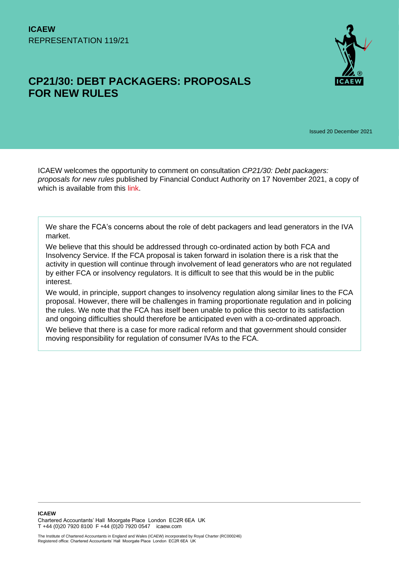# **CP21/30: DEBT PACKAGERS: PROPOSALS FOR NEW RULES**



Issued 20 December 2021

ICAEW welcomes the opportunity to comment on consultation *CP21/30: Debt packagers: proposals for new rules* published by Financial Conduct Authority on 17 November 2021, a copy of which is available from this [link.](https://www.fca.org.uk/publications/consultation-papers/cp21-30-debt-packagers-proposals-new-rules)

We share the FCA's concerns about the role of debt packagers and lead generators in the IVA market.

We believe that this should be addressed through co-ordinated action by both FCA and Insolvency Service. If the FCA proposal is taken forward in isolation there is a risk that the activity in question will continue through involvement of lead generators who are not regulated by either FCA or insolvency regulators. It is difficult to see that this would be in the public interest.

We would, in principle, support changes to insolvency regulation along similar lines to the FCA proposal. However, there will be challenges in framing proportionate regulation and in policing the rules. We note that the FCA has itself been unable to police this sector to its satisfaction and ongoing difficulties should therefore be anticipated even with a co-ordinated approach.

We believe that there is a case for more radical reform and that government should consider moving responsibility for regulation of consumer IVAs to the FCA.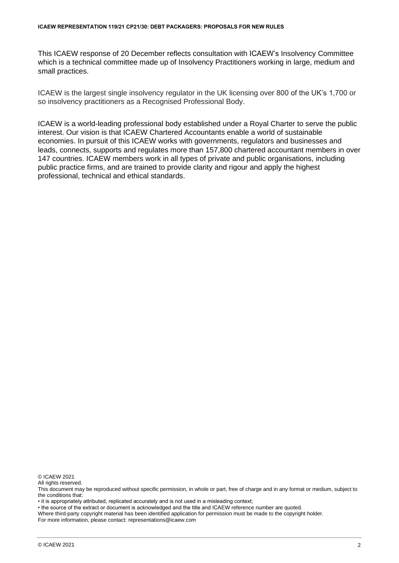This ICAEW response of 20 December reflects consultation with ICAEW's Insolvency Committee which is a technical committee made up of Insolvency Practitioners working in large, medium and small practices.

ICAEW is the largest single insolvency regulator in the UK licensing over 800 of the UK's 1,700 or so insolvency practitioners as a Recognised Professional Body.

ICAEW is a world-leading professional body established under a Royal Charter to serve the public interest. Our vision is that ICAEW Chartered Accountants enable a world of sustainable economies. In pursuit of this ICAEW works with governments, regulators and businesses and leads, connects, supports and regulates more than 157,800 chartered accountant members in over 147 countries. ICAEW members work in all types of private and public organisations, including public practice firms, and are trained to provide clarity and rigour and apply the highest professional, technical and ethical standards.

© ICAEW 2021

All rights reserved.

• it is appropriately attributed, replicated accurately and is not used in a misleading context;

• the source of the extract or document is acknowledged and the title and ICAEW reference number are quoted.

Where third-party copyright material has been identified application for permission must be made to the copyright holder.

For more information, please contact: representations@icaew.com

This document may be reproduced without specific permission, in whole or part, free of charge and in any format or medium, subject to the conditions that: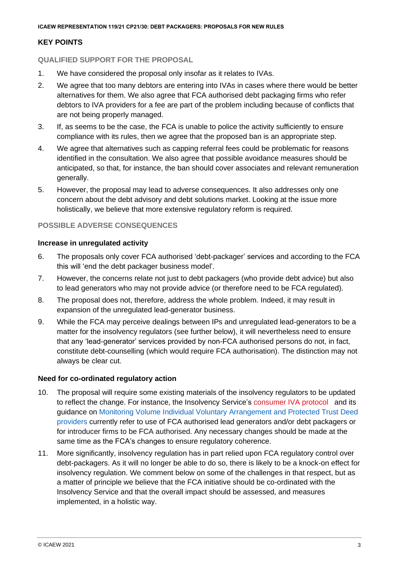# **KEY POINTS**

# **QUALIFIED SUPPORT FOR THE PROPOSAL**

- 1. We have considered the proposal only insofar as it relates to IVAs.
- 2. We agree that too many debtors are entering into IVAs in cases where there would be better alternatives for them. We also agree that FCA authorised debt packaging firms who refer debtors to IVA providers for a fee are part of the problem including because of conflicts that are not being properly managed.
- 3. If, as seems to be the case, the FCA is unable to police the activity sufficiently to ensure compliance with its rules, then we agree that the proposed ban is an appropriate step.
- 4. We agree that alternatives such as capping referral fees could be problematic for reasons identified in the consultation. We also agree that possible avoidance measures should be anticipated, so that, for instance, the ban should cover associates and relevant remuneration generally.
- 5. However, the proposal may lead to adverse consequences. It also addresses only one concern about the debt advisory and debt solutions market. Looking at the issue more holistically, we believe that more extensive regulatory reform is required.

# **POSSIBLE ADVERSE CONSEQUENCES**

# **Increase in unregulated activity**

- 6. The proposals only cover FCA authorised 'debt-packager' services and according to the FCA this will 'end the debt packager business model'.
- 7. However, the concerns relate not just to debt packagers (who provide debt advice) but also to lead generators who may not provide advice (or therefore need to be FCA regulated).
- 8. The proposal does not, therefore, address the whole problem. Indeed, it may result in expansion of the unregulated lead-generator business.
- 9. While the FCA may perceive dealings between IPs and unregulated lead-generators to be a matter for the insolvency regulators (see further below), it will nevertheless need to ensure that any 'lead-generator' services provided by non-FCA authorised persons do not, in fact, constitute debt-counselling (which would require FCA authorisation). The distinction may not always be clear cut.

# **Need for co-ordinated regulatory action**

- 10. The proposal will require some existing materials of the insolvency regulators to be updated to reflect the change. For instance, the Insolvency Service's [consumer IVA protocol](https://www.gov.uk/government/publications/individual-voluntary-arrangement-iva-protocol/iva-protocol-2021) and its guidance on [Monitoring Volume Individual Voluntary Arrangement and Protected Trust Deed](file:///C:/Users/PSO3AB/AppData/Local/Microsoft/Windows/INetCache/Content.Outlook/6OP36EOY/Monitoring%20Volume%20Individual%20Voluntary%20Arrangement%20and%20Protected%20Trust%20Deed) [providers](file:///C:/Users/PSO3AB/AppData/Local/Microsoft/Windows/INetCache/Content.Outlook/6OP36EOY/Monitoring%20Volume%20Individual%20Voluntary%20Arrangement%20and%20Protected%20Trust%20Deed) currently refer to use of FCA authorised lead generators and/or debt packagers or for introducer firms to be FCA authorised. Any necessary changes should be made at the same time as the FCA's changes to ensure regulatory coherence.
- 11. More significantly, insolvency regulation has in part relied upon FCA regulatory control over debt-packagers. As it will no longer be able to do so, there is likely to be a knock-on effect for insolvency regulation. We comment below on some of the challenges in that respect, but as a matter of principle we believe that the FCA initiative should be co-ordinated with the Insolvency Service and that the overall impact should be assessed, and measures implemented, in a holistic way.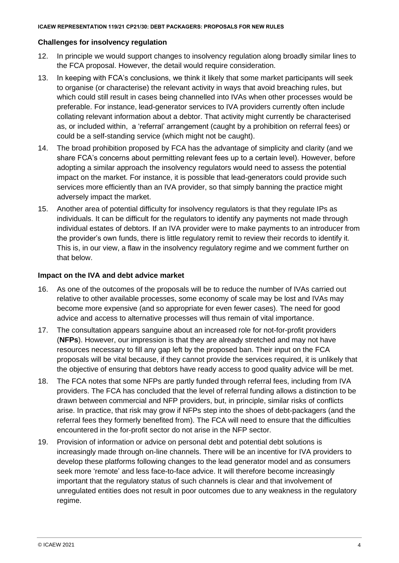#### **Challenges for insolvency regulation**

- 12. In principle we would support changes to insolvency regulation along broadly similar lines to the FCA proposal. However, the detail would require consideration.
- 13. In keeping with FCA's conclusions, we think it likely that some market participants will seek to organise (or characterise) the relevant activity in ways that avoid breaching rules, but which could still result in cases being channelled into IVAs when other processes would be preferable. For instance, lead-generator services to IVA providers currently often include collating relevant information about a debtor. That activity might currently be characterised as, or included within, a 'referral' arrangement (caught by a prohibition on referral fees) or could be a self-standing service (which might not be caught).
- 14. The broad prohibition proposed by FCA has the advantage of simplicity and clarity (and we share FCA's concerns about permitting relevant fees up to a certain level). However, before adopting a similar approach the insolvency regulators would need to assess the potential impact on the market. For instance, it is possible that lead-generators could provide such services more efficiently than an IVA provider, so that simply banning the practice might adversely impact the market.
- 15. Another area of potential difficulty for insolvency regulators is that they regulate IPs as individuals. It can be difficult for the regulators to identify any payments not made through individual estates of debtors. If an IVA provider were to make payments to an introducer from the provider's own funds, there is little regulatory remit to review their records to identify it. This is, in our view, a flaw in the insolvency regulatory regime and we comment further on that below.

#### **Impact on the IVA and debt advice market**

- 16. As one of the outcomes of the proposals will be to reduce the number of IVAs carried out relative to other available processes, some economy of scale may be lost and IVAs may become more expensive (and so appropriate for even fewer cases). The need for good advice and access to alternative processes will thus remain of vital importance.
- 17. The consultation appears sanguine about an increased role for not-for-profit providers (**NFPs**). However, our impression is that they are already stretched and may not have resources necessary to fill any gap left by the proposed ban. Their input on the FCA proposals will be vital because, if they cannot provide the services required, it is unlikely that the objective of ensuring that debtors have ready access to good quality advice will be met.
- 18. The FCA notes that some NFPs are partly funded through referral fees, including from IVA providers. The FCA has concluded that the level of referral funding allows a distinction to be drawn between commercial and NFP providers, but, in principle, similar risks of conflicts arise. In practice, that risk may grow if NFPs step into the shoes of debt-packagers (and the referral fees they formerly benefited from). The FCA will need to ensure that the difficulties encountered in the for-profit sector do not arise in the NFP sector.
- 19. Provision of information or advice on personal debt and potential debt solutions is increasingly made through on-line channels. There will be an incentive for IVA providers to develop these platforms following changes to the lead generator model and as consumers seek more 'remote' and less face-to-face advice. It will therefore become increasingly important that the regulatory status of such channels is clear and that involvement of unregulated entities does not result in poor outcomes due to any weakness in the regulatory regime.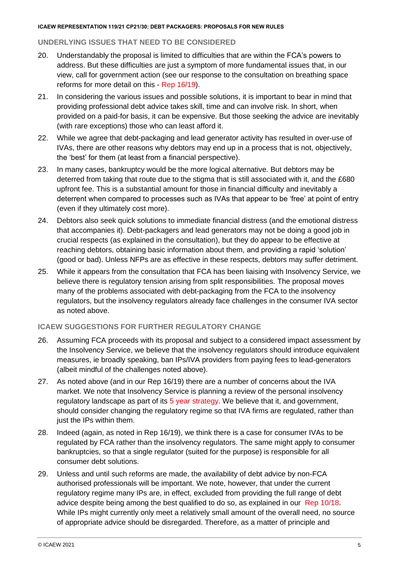#### **ICAEW REPRESENTATION 119/21 CP21/30: DEBT PACKAGERS: PROPOSALS FOR NEW RULES**

## **UNDERLYING ISSUES THAT NEED TO BE CONSIDERED**

- 20. Understandably the proposal is limited to difficulties that are within the FCA's powers to address. But these difficulties are just a symptom of more fundamental issues that, in our view, call for government action (see our response to the consultation on breathing space reforms for more detail on this - Rep [16/19\)](https://www.icaew.com/-/media/corporate/files/technical/icaew-representations/2019/icaew-rep-16-19-breathing-space-consultation.ashx).
- 21. In considering the various issues and possible solutions, it is important to bear in mind that providing professional debt advice takes skill, time and can involve risk. In short, when provided on a paid-for basis, it can be expensive. But those seeking the advice are inevitably (with rare exceptions) those who can least afford it.
- 22. While we agree that debt-packaging and lead generator activity has resulted in over-use of IVAs, there are other reasons why debtors may end up in a process that is not, objectively, the 'best' for them (at least from a financial perspective).
- 23. In many cases, bankruptcy would be the more logical alternative. But debtors may be deterred from taking that route due to the stigma that is still associated with it, and the £680 upfront fee. This is a substantial amount for those in financial difficulty and inevitably a deterrent when compared to processes such as IVAs that appear to be 'free' at point of entry (even if they ultimately cost more).
- 24. Debtors also seek quick solutions to immediate financial distress (and the emotional distress that accompanies it). Debt-packagers and lead generators may not be doing a good job in crucial respects (as explained in the consultation), but they do appear to be effective at reaching debtors, obtaining basic information about them, and providing a rapid 'solution' (good or bad). Unless NFPs are as effective in these respects, debtors may suffer detriment.
- 25. While it appears from the consultation that FCA has been liaising with Insolvency Service, we believe there is regulatory tension arising from split responsibilities. The proposal moves many of the problems associated with debt-packaging from the FCA to the insolvency regulators, but the insolvency regulators already face challenges in the consumer IVA sector as noted above.

#### **ICAEW SUGGESTIONS FOR FURTHER REGULATORY CHANGE**

- 26. Assuming FCA proceeds with its proposal and subject to a considered impact assessment by the Insolvency Service, we believe that the insolvency regulators should introduce equivalent measures, ie broadly speaking, ban IPs/IVA providers from paying fees to lead-generators (albeit mindful of the challenges noted above).
- 27. As noted above (and in our Rep 16/19) there are a number of concerns about the IVA market. We note that Insolvency Service is planning a review of the personal insolvency regulatory landscape as part of its [5 year strategy.](https://www.gov.uk/government/publications/the-insolvency-service-strategy-2021-to-2026/the-insolvency-service-strategy-2021-to-2026) We believe that it, and government, should consider changing the regulatory regime so that IVA firms are regulated, rather than just the IPs within them.
- 28. Indeed (again, as noted in Rep 16/19), we think there is a case for consumer IVAs to be regulated by FCA rather than the insolvency regulators. The same might apply to consumer bankruptcies, so that a single regulator (suited for the purpose) is responsible for all consumer debt solutions.
- 29. Unless and until such reforms are made, the availability of debt advice by non-FCA authorised professionals will be important. We note, however, that under the current regulatory regime many IPs are, in effect, excluded from providing the full range of debt advice despite being among the best qualified to do so, as explained in our [Rep 10/18.](https://icaew.access.preservica.com/index.php/IO_d9e05ce0-a139-45e9-b659-c1e4009c6428/) While IPs might currently only meet a relatively small amount of the overall need, no source of appropriate advice should be disregarded. Therefore, as a matter of principle and